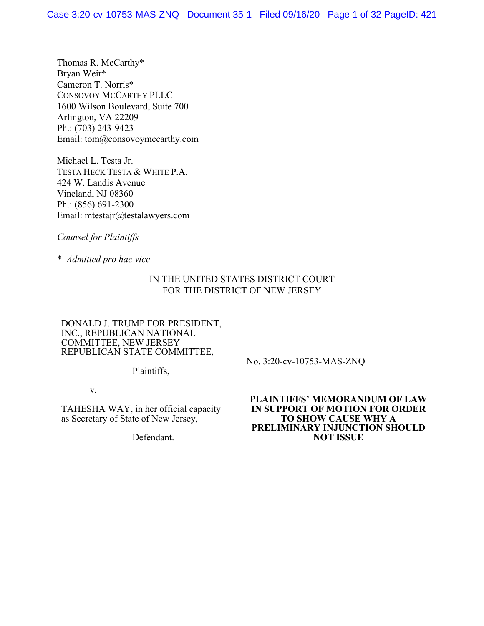Thomas R. McCarthy\* Bryan Weir\* Cameron T. Norris\* CONSOVOY MCCARTHY PLLC 1600 Wilson Boulevard, Suite 700 Arlington, VA 22209 Ph.: (703) 243-9423 Email: tom@consovoymccarthy.com

Michael L. Testa Jr. TESTA HECK TESTA & WHITE P.A. 424 W. Landis Avenue Vineland, NJ 08360 Ph.: (856) 691-2300 Email: mtestajr@testalawyers.com

*Counsel for Plaintiffs*

\* *Admitted pro hac vice*

# IN THE UNITED STATES DISTRICT COURT FOR THE DISTRICT OF NEW JERSEY

### DONALD J. TRUMP FOR PRESIDENT, INC., REPUBLICAN NATIONAL COMMITTEE, NEW JERSEY REPUBLICAN STATE COMMITTEE,

Plaintiffs,

v.

TAHESHA WAY, in her official capacity as Secretary of State of New Jersey,

Defendant.

No. 3:20-cv-10753-MAS-ZNQ

**PLAINTIFFS' MEMORANDUM OF LAW IN SUPPORT OF MOTION FOR ORDER TO SHOW CAUSE WHY A PRELIMINARY INJUNCTION SHOULD NOT ISSUE**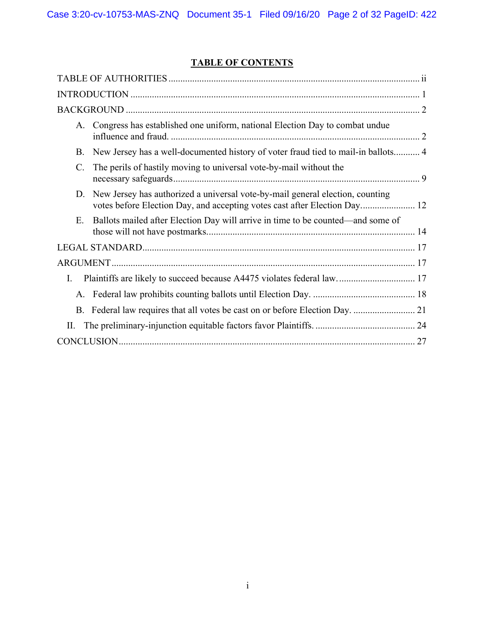# **TABLE OF CONTENTS**

| A.             | Congress has established one uniform, national Election Day to combat undue                                                                                |
|----------------|------------------------------------------------------------------------------------------------------------------------------------------------------------|
| B.             | New Jersey has a well-documented history of voter fraud tied to mail-in ballots 4                                                                          |
| $\mathbf{C}$ . | The perils of hastily moving to universal vote-by-mail without the                                                                                         |
| D.             | New Jersey has authorized a universal vote-by-mail general election, counting<br>votes before Election Day, and accepting votes cast after Election Day 12 |
| E.             | Ballots mailed after Election Day will arrive in time to be counted—and some of                                                                            |
|                |                                                                                                                                                            |
|                |                                                                                                                                                            |
| Ι.             |                                                                                                                                                            |
|                |                                                                                                                                                            |
|                |                                                                                                                                                            |
| П.             |                                                                                                                                                            |
|                |                                                                                                                                                            |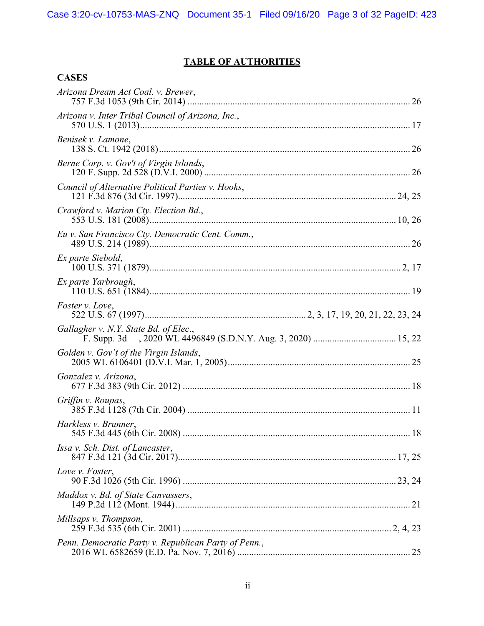# **TABLE OF AUTHORITIES**

# **CASES**

| Arizona Dream Act Coal. v. Brewer,                   |
|------------------------------------------------------|
| Arizona v. Inter Tribal Council of Arizona, Inc.,    |
| Benisek v. Lamone,                                   |
| Berne Corp. v. Gov't of Virgin Islands,              |
| Council of Alternative Political Parties v. Hooks,   |
| Crawford v. Marion Cty. Election Bd.,                |
| Eu v. San Francisco Cty. Democratic Cent. Comm.,     |
| Ex parte Siebold,                                    |
| Ex parte Yarbrough,                                  |
| <i>Foster v. Love,</i>                               |
| Gallagher v. N.Y. State Bd. of Elec.,                |
| Golden v. Gov't of the Virgin Islands,               |
| Gonzalez v. Arizona,                                 |
| Griffin v. Roupas,                                   |
| Harkless v. Brunner,                                 |
| Issa v. Sch. Dist. of Lancaster,                     |
| Love v. Foster,                                      |
| Maddox v. Bd. of State Canvassers,                   |
| Millsaps v. Thompson,                                |
| Penn. Democratic Party v. Republican Party of Penn., |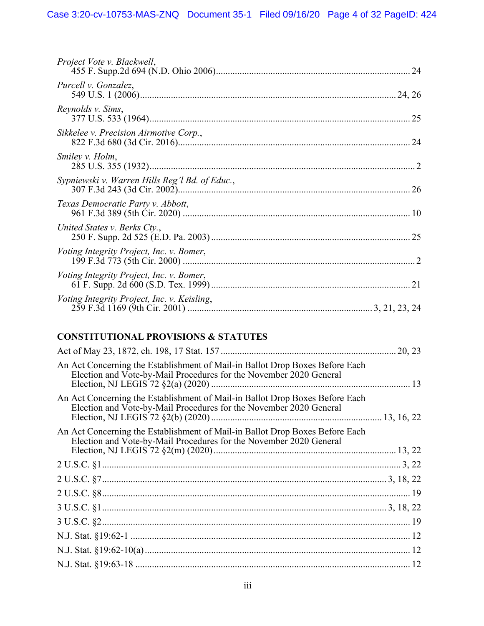| Project Vote v. Blackwell,                     |  |
|------------------------------------------------|--|
| Purcell v. Gonzalez,                           |  |
| Reynolds v. Sims,                              |  |
| Sikkelee v. Precision Airmotive Corp.,         |  |
| Smiley v. Holm,                                |  |
| Sypniewski v. Warren Hills Reg'l Bd. of Educ., |  |
| Texas Democratic Party v. Abbott,              |  |
| United States v. Berks Cty.,                   |  |
| Voting Integrity Project, Inc. v. Bomer,       |  |
| Voting Integrity Project, Inc. v. Bomer,       |  |
| Voting Integrity Project, Inc. v. Keisling,    |  |

# **CONSTITUTIONAL PROVISIONS & STATUTES**

| An Act Concerning the Establishment of Mail-in Ballot Drop Boxes Before Each<br>Election and Vote-by-Mail Procedures for the November 2020 General |  |
|----------------------------------------------------------------------------------------------------------------------------------------------------|--|
| An Act Concerning the Establishment of Mail-in Ballot Drop Boxes Before Each<br>Election and Vote-by-Mail Procedures for the November 2020 General |  |
| An Act Concerning the Establishment of Mail-in Ballot Drop Boxes Before Each<br>Election and Vote-by-Mail Procedures for the November 2020 General |  |
|                                                                                                                                                    |  |
|                                                                                                                                                    |  |
|                                                                                                                                                    |  |
|                                                                                                                                                    |  |
|                                                                                                                                                    |  |
|                                                                                                                                                    |  |
|                                                                                                                                                    |  |
|                                                                                                                                                    |  |
|                                                                                                                                                    |  |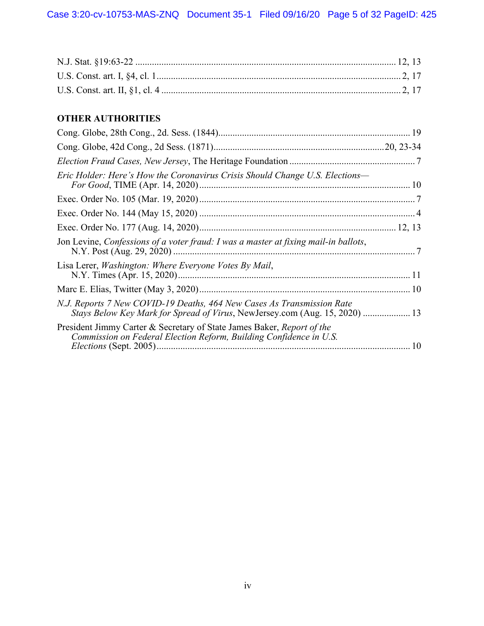# **OTHER AUTHORITIES**

| Eric Holder: Here's How the Coronavirus Crisis Should Change U.S. Elections—                                                                          |
|-------------------------------------------------------------------------------------------------------------------------------------------------------|
|                                                                                                                                                       |
|                                                                                                                                                       |
|                                                                                                                                                       |
| Jon Levine, Confessions of a voter fraud: I was a master at fixing mail-in ballots,                                                                   |
| Lisa Lerer, <i>Washington: Where Everyone Votes By Mail</i> ,                                                                                         |
|                                                                                                                                                       |
| N.J. Reports 7 New COVID-19 Deaths, 464 New Cases As Transmission Rate<br>Stays Below Key Mark for Spread of Virus, NewJersey.com (Aug. 15, 2020)  13 |
| President Jimmy Carter & Secretary of State James Baker, Report of the<br>Commission on Federal Election Reform, Building Confidence in U.S.          |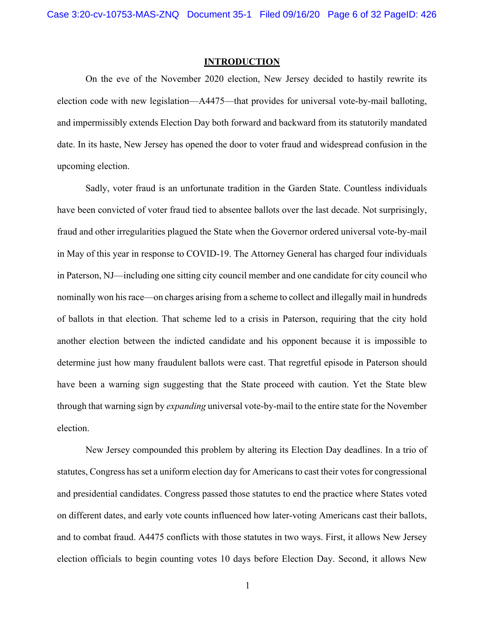### **INTRODUCTION**

On the eve of the November 2020 election, New Jersey decided to hastily rewrite its election code with new legislation—A4475—that provides for universal vote-by-mail balloting, and impermissibly extends Election Day both forward and backward from its statutorily mandated date. In its haste, New Jersey has opened the door to voter fraud and widespread confusion in the upcoming election.

Sadly, voter fraud is an unfortunate tradition in the Garden State. Countless individuals have been convicted of voter fraud tied to absentee ballots over the last decade. Not surprisingly, fraud and other irregularities plagued the State when the Governor ordered universal vote-by-mail in May of this year in response to COVID-19. The Attorney General has charged four individuals in Paterson, NJ—including one sitting city council member and one candidate for city council who nominally won his race—on charges arising from a scheme to collect and illegally mail in hundreds of ballots in that election. That scheme led to a crisis in Paterson, requiring that the city hold another election between the indicted candidate and his opponent because it is impossible to determine just how many fraudulent ballots were cast. That regretful episode in Paterson should have been a warning sign suggesting that the State proceed with caution. Yet the State blew through that warning sign by *expanding* universal vote-by-mail to the entire state for the November election.

New Jersey compounded this problem by altering its Election Day deadlines. In a trio of statutes, Congress has set a uniform election day for Americans to cast their votes for congressional and presidential candidates. Congress passed those statutes to end the practice where States voted on different dates, and early vote counts influenced how later-voting Americans cast their ballots, and to combat fraud. A4475 conflicts with those statutes in two ways. First, it allows New Jersey election officials to begin counting votes 10 days before Election Day. Second, it allows New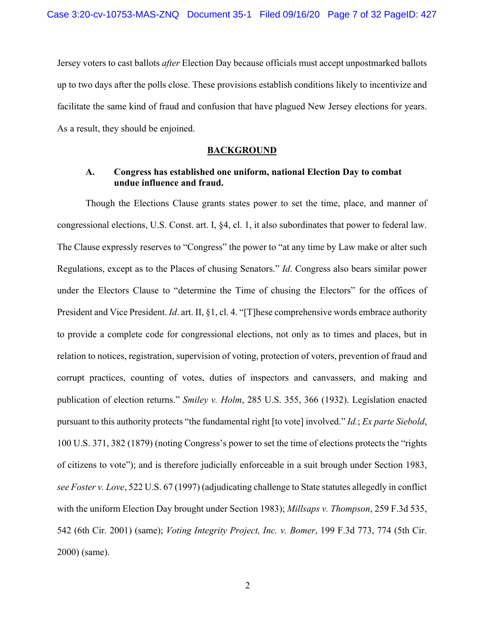Jersey voters to cast ballots *after* Election Day because officials must accept unpostmarked ballots up to two days after the polls close. These provisions establish conditions likely to incentivize and facilitate the same kind of fraud and confusion that have plagued New Jersey elections for years. As a result, they should be enjoined.

#### **BACKGROUND**

## **A. Congress has established one uniform, national Election Day to combat undue influence and fraud.**

Though the Elections Clause grants states power to set the time, place, and manner of congressional elections, U.S. Const. art. I, §4, cl. 1, it also subordinates that power to federal law. The Clause expressly reserves to "Congress" the power to "at any time by Law make or alter such Regulations, except as to the Places of chusing Senators." *Id*. Congress also bears similar power under the Electors Clause to "determine the Time of chusing the Electors" for the offices of President and Vice President. *Id*. art. II, §1, cl. 4. "[T]hese comprehensive words embrace authority to provide a complete code for congressional elections, not only as to times and places, but in relation to notices, registration, supervision of voting, protection of voters, prevention of fraud and corrupt practices, counting of votes, duties of inspectors and canvassers, and making and publication of election returns." *Smiley v. Holm*, 285 U.S. 355, 366 (1932). Legislation enacted pursuant to this authority protects "the fundamental right [to vote] involved." *Id.*; *Ex parte Siebold*, 100 U.S. 371, 382 (1879) (noting Congress's power to set the time of elections protects the "rights of citizens to vote"); and is therefore judicially enforceable in a suit brough under Section 1983, *see Foster v. Love*, 522 U.S. 67 (1997) (adjudicating challenge to State statutes allegedly in conflict with the uniform Election Day brought under Section 1983); *Millsaps v. Thompson*, 259 F.3d 535, 542 (6th Cir. 2001) (same); *Voting Integrity Project, Inc. v. Bomer*, 199 F.3d 773, 774 (5th Cir. 2000) (same).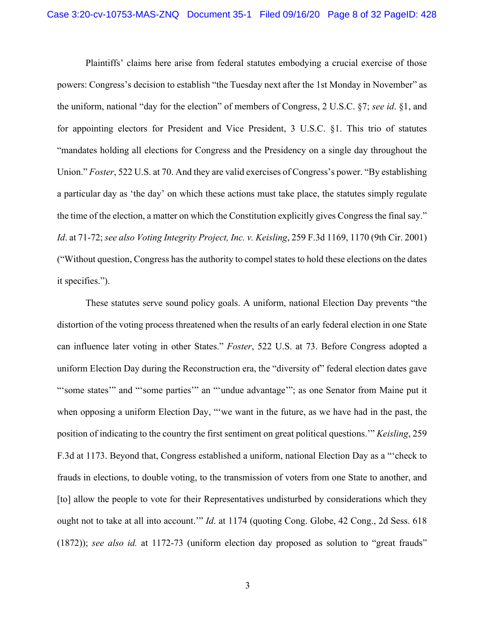Plaintiffs' claims here arise from federal statutes embodying a crucial exercise of those powers: Congress's decision to establish "the Tuesday next after the 1st Monday in November" as the uniform, national "day for the election" of members of Congress, 2 U.S.C. §7; *see id*. §1, and for appointing electors for President and Vice President, 3 U.S.C. §1. This trio of statutes "mandates holding all elections for Congress and the Presidency on a single day throughout the Union." *Foster*, 522 U.S. at 70. And they are valid exercises of Congress's power. "By establishing a particular day as 'the day' on which these actions must take place, the statutes simply regulate the time of the election, a matter on which the Constitution explicitly gives Congress the final say." *Id*. at 71-72; *see also Voting Integrity Project, Inc. v. Keisling*, 259 F.3d 1169, 1170 (9th Cir. 2001) ("Without question, Congress has the authority to compel states to hold these elections on the dates it specifies.").

These statutes serve sound policy goals. A uniform, national Election Day prevents "the distortion of the voting process threatened when the results of an early federal election in one State can influence later voting in other States." *Foster*, 522 U.S. at 73. Before Congress adopted a uniform Election Day during the Reconstruction era, the "diversity of" federal election dates gave "'some states'" and "'some parties'" an "'undue advantage'"; as one Senator from Maine put it when opposing a uniform Election Day, "'we want in the future, as we have had in the past, the position of indicating to the country the first sentiment on great political questions.'" *Keisling*, 259 F.3d at 1173. Beyond that, Congress established a uniform, national Election Day as a "'check to frauds in elections, to double voting, to the transmission of voters from one State to another, and [to] allow the people to vote for their Representatives undisturbed by considerations which they ought not to take at all into account.'" *Id*. at 1174 (quoting Cong. Globe, 42 Cong., 2d Sess. 618 (1872)); *see also id.* at 1172-73 (uniform election day proposed as solution to "great frauds"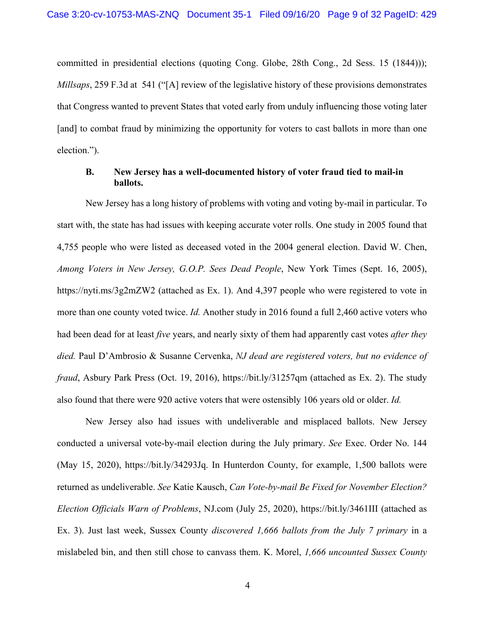committed in presidential elections (quoting Cong. Globe, 28th Cong., 2d Sess. 15 (1844))); *Millsaps*, 259 F.3d at 541 ("[A] review of the legislative history of these provisions demonstrates that Congress wanted to prevent States that voted early from unduly influencing those voting later [and] to combat fraud by minimizing the opportunity for voters to cast ballots in more than one election.").

## **B. New Jersey has a well-documented history of voter fraud tied to mail-in ballots.**

New Jersey has a long history of problems with voting and voting by-mail in particular. To start with, the state has had issues with keeping accurate voter rolls. One study in 2005 found that 4,755 people who were listed as deceased voted in the 2004 general election. David W. Chen, *Among Voters in New Jersey, G.O.P. Sees Dead People*, New York Times (Sept. 16, 2005), https://nyti.ms/3g2mZW2 (attached as Ex. 1). And 4,397 people who were registered to vote in more than one county voted twice. *Id.* Another study in 2016 found a full 2,460 active voters who had been dead for at least *five* years, and nearly sixty of them had apparently cast votes *after they died.* Paul D'Ambrosio & Susanne Cervenka, *NJ dead are registered voters, but no evidence of fraud*, Asbury Park Press (Oct. 19, 2016), https://bit.ly/31257qm (attached as Ex. 2). The study also found that there were 920 active voters that were ostensibly 106 years old or older. *Id.* 

New Jersey also had issues with undeliverable and misplaced ballots. New Jersey conducted a universal vote-by-mail election during the July primary. *See* Exec. Order No. 144 (May 15, 2020), https://bit.ly/34293Jq. In Hunterdon County, for example, 1,500 ballots were returned as undeliverable. *See* Katie Kausch, *Can Vote-by-mail Be Fixed for November Election? Election Officials Warn of Problems*, NJ.com (July 25, 2020), https://bit.ly/3461III (attached as Ex. 3). Just last week, Sussex County *discovered 1,666 ballots from the July 7 primary* in a mislabeled bin, and then still chose to canvass them. K. Morel, *1,666 uncounted Sussex County*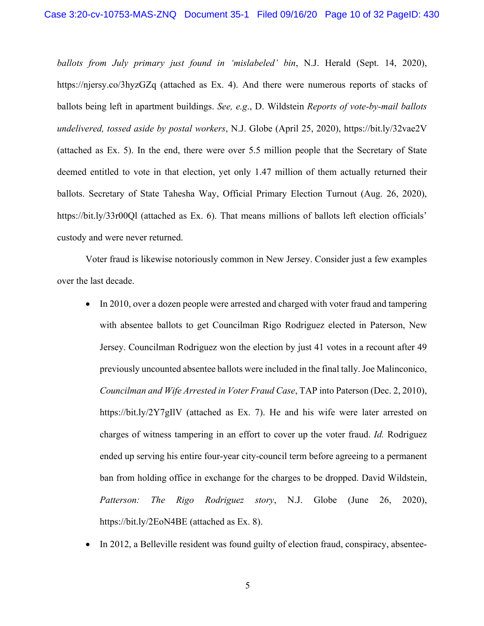*ballots from July primary just found in 'mislabeled' bin*, N.J. Herald (Sept. 14, 2020), https://njersy.co/3hyzGZq (attached as Ex. 4). And there were numerous reports of stacks of ballots being left in apartment buildings. *See, e.g*., D. Wildstein *Reports of vote-by-mail ballots undelivered, tossed aside by postal workers*, N.J. Globe (April 25, 2020), https://bit.ly/32vae2V (attached as Ex. 5). In the end, there were over 5.5 million people that the Secretary of State deemed entitled to vote in that election, yet only 1.47 million of them actually returned their ballots. Secretary of State Tahesha Way, Official Primary Election Turnout (Aug. 26, 2020), https://bit.ly/33r00Ql (attached as Ex. 6). That means millions of ballots left election officials' custody and were never returned.

Voter fraud is likewise notoriously common in New Jersey. Consider just a few examples over the last decade.

- In 2010, over a dozen people were arrested and charged with voter fraud and tampering with absentee ballots to get Councilman Rigo Rodriguez elected in Paterson, New Jersey. Councilman Rodriguez won the election by just 41 votes in a recount after 49 previously uncounted absentee ballots were included in the final tally. Joe Malinconico, *Councilman and Wife Arrested in Voter Fraud Case*, TAP into Paterson (Dec. 2, 2010), https://bit.ly/2Y7gIlV (attached as Ex. 7). He and his wife were later arrested on charges of witness tampering in an effort to cover up the voter fraud. *Id.* Rodriguez ended up serving his entire four-year city-council term before agreeing to a permanent ban from holding office in exchange for the charges to be dropped. David Wildstein, *Patterson: The Rigo Rodriguez story*, N.J. Globe (June 26, 2020), https://bit.ly/2EoN4BE (attached as Ex. 8).
- In 2012, a Belleville resident was found guilty of election fraud, conspiracy, absentee-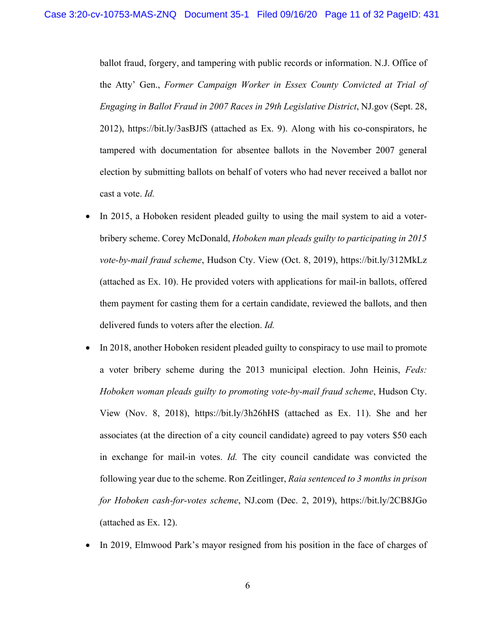ballot fraud, forgery, and tampering with public records or information. N.J. Office of the Atty' Gen., *Former Campaign Worker in Essex County Convicted at Trial of Engaging in Ballot Fraud in 2007 Races in 29th Legislative District*, NJ.gov (Sept. 28, 2012), https://bit.ly/3asBJfS (attached as Ex. 9). Along with his co-conspirators, he tampered with documentation for absentee ballots in the November 2007 general election by submitting ballots on behalf of voters who had never received a ballot nor cast a vote. *Id.* 

- In 2015, a Hoboken resident pleaded guilty to using the mail system to aid a voterbribery scheme. Corey McDonald, *Hoboken man pleads guilty to participating in 2015 vote-by-mail fraud scheme*, Hudson Cty. View (Oct. 8, 2019), https://bit.ly/312MkLz (attached as Ex. 10). He provided voters with applications for mail-in ballots, offered them payment for casting them for a certain candidate, reviewed the ballots, and then delivered funds to voters after the election. *Id.*
- In 2018, another Hoboken resident pleaded guilty to conspiracy to use mail to promote a voter bribery scheme during the 2013 municipal election. John Heinis, *Feds: Hoboken woman pleads guilty to promoting vote-by-mail fraud scheme*, Hudson Cty. View (Nov. 8, 2018), https://bit.ly/3h26hHS (attached as Ex. 11). She and her associates (at the direction of a city council candidate) agreed to pay voters \$50 each in exchange for mail-in votes. *Id.* The city council candidate was convicted the following year due to the scheme. Ron Zeitlinger, *Raia sentenced to 3 months in prison for Hoboken cash-for-votes scheme*, NJ.com (Dec. 2, 2019), https://bit.ly/2CB8JGo (attached as Ex. 12).
- In 2019, Elmwood Park's mayor resigned from his position in the face of charges of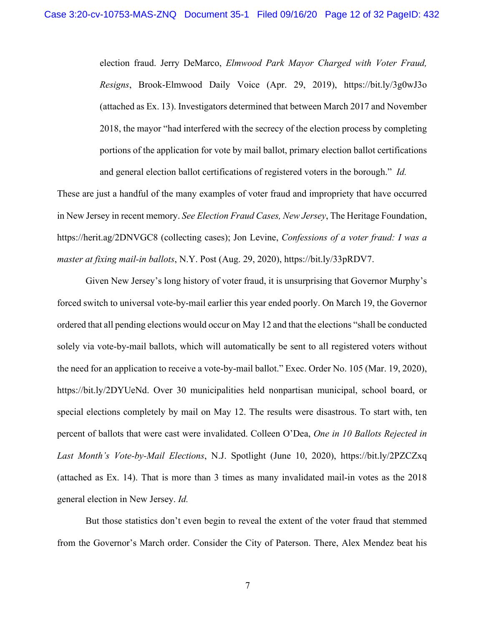election fraud. Jerry DeMarco, *Elmwood Park Mayor Charged with Voter Fraud, Resigns*, Brook-Elmwood Daily Voice (Apr. 29, 2019), https://bit.ly/3g0wJ3o (attached as Ex. 13). Investigators determined that between March 2017 and November 2018, the mayor "had interfered with the secrecy of the election process by completing portions of the application for vote by mail ballot, primary election ballot certifications and general election ballot certifications of registered voters in the borough." *Id.* 

These are just a handful of the many examples of voter fraud and impropriety that have occurred in New Jersey in recent memory. *See Election Fraud Cases, New Jersey*, The Heritage Foundation, https://herit.ag/2DNVGC8 (collecting cases); Jon Levine, *Confessions of a voter fraud: I was a master at fixing mail-in ballots*, N.Y. Post (Aug. 29, 2020), https://bit.ly/33pRDV7.

Given New Jersey's long history of voter fraud, it is unsurprising that Governor Murphy's forced switch to universal vote-by-mail earlier this year ended poorly. On March 19, the Governor ordered that all pending elections would occur on May 12 and that the elections "shall be conducted solely via vote-by-mail ballots, which will automatically be sent to all registered voters without the need for an application to receive a vote-by-mail ballot." Exec. Order No. 105 (Mar. 19, 2020), https://bit.ly/2DYUeNd. Over 30 municipalities held nonpartisan municipal, school board, or special elections completely by mail on May 12. The results were disastrous. To start with, ten percent of ballots that were cast were invalidated. Colleen O'Dea, *One in 10 Ballots Rejected in Last Month's Vote-by-Mail Elections*, N.J. Spotlight (June 10, 2020), https://bit.ly/2PZCZxq (attached as Ex. 14). That is more than 3 times as many invalidated mail-in votes as the 2018 general election in New Jersey. *Id.* 

But those statistics don't even begin to reveal the extent of the voter fraud that stemmed from the Governor's March order. Consider the City of Paterson. There, Alex Mendez beat his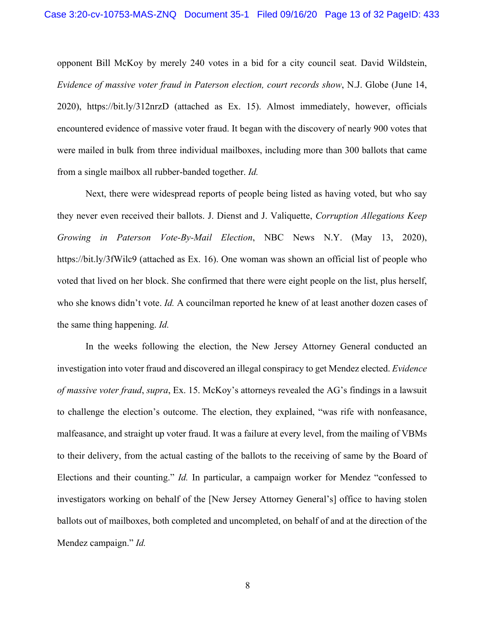opponent Bill McKoy by merely 240 votes in a bid for a city council seat. David Wildstein, *Evidence of massive voter fraud in Paterson election, court records show*, N.J. Globe (June 14, 2020), https://bit.ly/312nrzD (attached as Ex. 15). Almost immediately, however, officials encountered evidence of massive voter fraud. It began with the discovery of nearly 900 votes that were mailed in bulk from three individual mailboxes, including more than 300 ballots that came from a single mailbox all rubber-banded together. *Id.*

Next, there were widespread reports of people being listed as having voted, but who say they never even received their ballots. J. Dienst and J. Valiquette, *Corruption Allegations Keep Growing in Paterson Vote-By-Mail Election*, NBC News N.Y. (May 13, 2020), https://bit.ly/3fWilc9 (attached as Ex. 16). One woman was shown an official list of people who voted that lived on her block. She confirmed that there were eight people on the list, plus herself, who she knows didn't vote. *Id.* A councilman reported he knew of at least another dozen cases of the same thing happening. *Id.*

In the weeks following the election, the New Jersey Attorney General conducted an investigation into voter fraud and discovered an illegal conspiracy to get Mendez elected. *Evidence of massive voter fraud*, *supra*, Ex. 15. McKoy's attorneys revealed the AG's findings in a lawsuit to challenge the election's outcome. The election, they explained, "was rife with nonfeasance, malfeasance, and straight up voter fraud. It was a failure at every level, from the mailing of VBMs to their delivery, from the actual casting of the ballots to the receiving of same by the Board of Elections and their counting." *Id.* In particular, a campaign worker for Mendez "confessed to investigators working on behalf of the [New Jersey Attorney General's] office to having stolen ballots out of mailboxes, both completed and uncompleted, on behalf of and at the direction of the Mendez campaign." *Id.*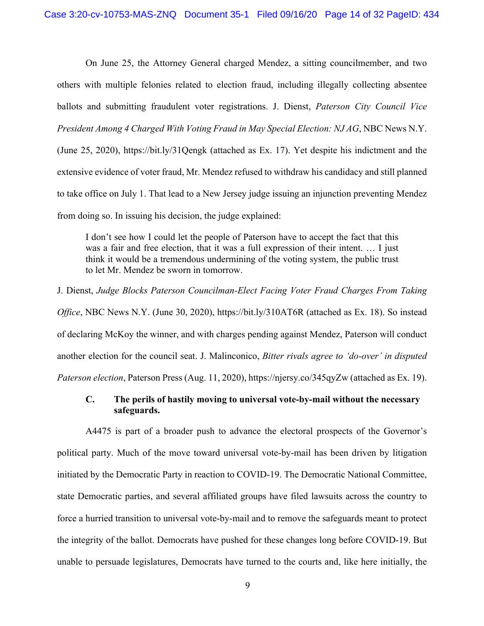On June 25, the Attorney General charged Mendez, a sitting councilmember, and two others with multiple felonies related to election fraud, including illegally collecting absentee ballots and submitting fraudulent voter registrations. J. Dienst, *Paterson City Council Vice President Among 4 Charged With Voting Fraud in May Special Election: NJ AG*, NBC News N.Y. (June 25, 2020), https://bit.ly/31Qengk (attached as Ex. 17). Yet despite his indictment and the extensive evidence of voter fraud, Mr. Mendez refused to withdraw his candidacy and still planned to take office on July 1. That lead to a New Jersey judge issuing an injunction preventing Mendez from doing so. In issuing his decision, the judge explained:

I don't see how I could let the people of Paterson have to accept the fact that this was a fair and free election, that it was a full expression of their intent. … I just think it would be a tremendous undermining of the voting system, the public trust to let Mr. Mendez be sworn in tomorrow.

J. Dienst, *Judge Blocks Paterson Councilman-Elect Facing Voter Fraud Charges From Taking Office*, NBC News N.Y. (June 30, 2020), https://bit.ly/310AT6R (attached as Ex. 18). So instead of declaring McKoy the winner, and with charges pending against Mendez, Paterson will conduct another election for the council seat. J. Malinconico, *Bitter rivals agree to 'do-over' in disputed Paterson election*, Paterson Press (Aug. 11, 2020), https://njersy.co/345qyZw (attached as Ex. 19).

## **C. The perils of hastily moving to universal vote-by-mail without the necessary safeguards.**

A4475 is part of a broader push to advance the electoral prospects of the Governor's political party. Much of the move toward universal vote-by-mail has been driven by litigation initiated by the Democratic Party in reaction to COVID-19. The Democratic National Committee, state Democratic parties, and several affiliated groups have filed lawsuits across the country to force a hurried transition to universal vote-by-mail and to remove the safeguards meant to protect the integrity of the ballot. Democrats have pushed for these changes long before COVID-19. But unable to persuade legislatures, Democrats have turned to the courts and, like here initially, the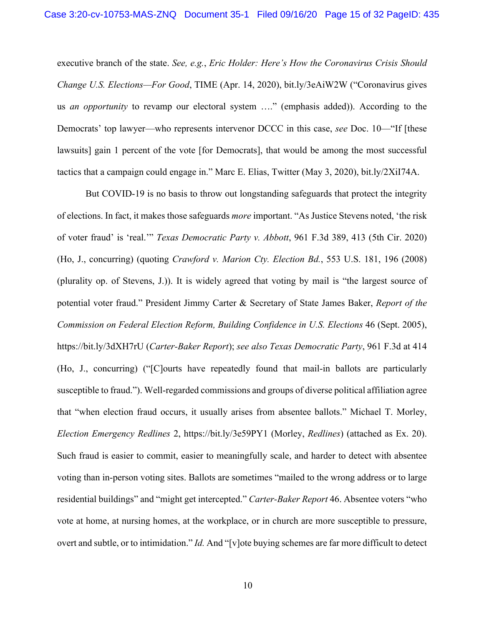executive branch of the state. *See, e.g.*, *Eric Holder: Here's How the Coronavirus Crisis Should Change U.S. Elections—For Good*, TIME (Apr. 14, 2020), bit.ly/3eAiW2W ("Coronavirus gives us *an opportunity* to revamp our electoral system …." (emphasis added)). According to the Democrats' top lawyer—who represents intervenor DCCC in this case, *see* Doc. 10—"If [these lawsuits] gain 1 percent of the vote [for Democrats], that would be among the most successful tactics that a campaign could engage in." Marc E. Elias, Twitter (May 3, 2020), bit.ly/2XiI74A.

But COVID-19 is no basis to throw out longstanding safeguards that protect the integrity of elections. In fact, it makes those safeguards *more* important. "As Justice Stevens noted, 'the risk of voter fraud' is 'real.'" *Texas Democratic Party v. Abbott*, 961 F.3d 389, 413 (5th Cir. 2020) (Ho, J., concurring) (quoting *Crawford v. Marion Cty. Election Bd.*, 553 U.S. 181, 196 (2008) (plurality op. of Stevens, J.)). It is widely agreed that voting by mail is "the largest source of potential voter fraud." President Jimmy Carter & Secretary of State James Baker, *Report of the Commission on Federal Election Reform, Building Confidence in U.S. Elections* 46 (Sept. 2005), https://bit.ly/3dXH7rU (*Carter-Baker Report*); *see also Texas Democratic Party*, 961 F.3d at 414 (Ho, J., concurring) ("[C]ourts have repeatedly found that mail-in ballots are particularly susceptible to fraud."). Well-regarded commissions and groups of diverse political affiliation agree that "when election fraud occurs, it usually arises from absentee ballots." Michael T. Morley, *Election Emergency Redlines* 2, https://bit.ly/3e59PY1 (Morley, *Redlines*) (attached as Ex. 20). Such fraud is easier to commit, easier to meaningfully scale, and harder to detect with absentee voting than in-person voting sites. Ballots are sometimes "mailed to the wrong address or to large residential buildings" and "might get intercepted." *Carter-Baker Report* 46. Absentee voters "who vote at home, at nursing homes, at the workplace, or in church are more susceptible to pressure, overt and subtle, or to intimidation." *Id.* And "[v]ote buying schemes are far more difficult to detect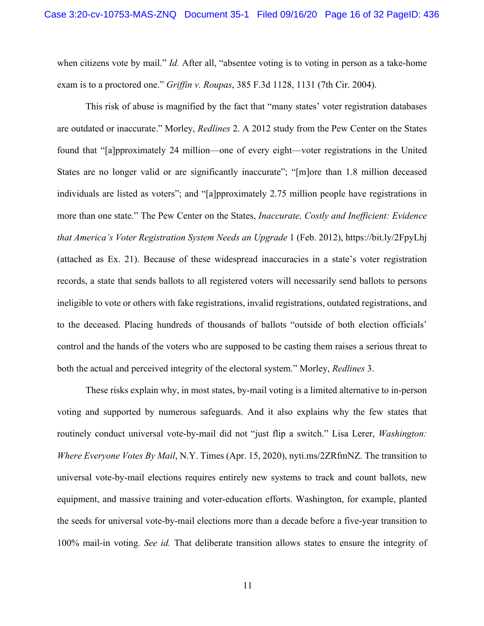when citizens vote by mail." *Id.* After all, "absentee voting is to voting in person as a take-home exam is to a proctored one." *Griffin v. Roupas*, 385 F.3d 1128, 1131 (7th Cir. 2004).

This risk of abuse is magnified by the fact that "many states' voter registration databases are outdated or inaccurate." Morley, *Redlines* 2. A 2012 study from the Pew Center on the States found that "[a]pproximately 24 million—one of every eight—voter registrations in the United States are no longer valid or are significantly inaccurate"; "[m]ore than 1.8 million deceased individuals are listed as voters"; and "[a]pproximately 2.75 million people have registrations in more than one state." The Pew Center on the States, *Inaccurate, Costly and Inefficient: Evidence that America's Voter Registration System Needs an Upgrade* 1 (Feb. 2012), https://bit.ly/2FpyLhj (attached as Ex. 21). Because of these widespread inaccuracies in a state's voter registration records, a state that sends ballots to all registered voters will necessarily send ballots to persons ineligible to vote or others with fake registrations, invalid registrations, outdated registrations, and to the deceased. Placing hundreds of thousands of ballots "outside of both election officials' control and the hands of the voters who are supposed to be casting them raises a serious threat to both the actual and perceived integrity of the electoral system." Morley, *Redlines* 3.

These risks explain why, in most states, by-mail voting is a limited alternative to in-person voting and supported by numerous safeguards. And it also explains why the few states that routinely conduct universal vote-by-mail did not "just flip a switch." Lisa Lerer, *Washington: Where Everyone Votes By Mail*, N.Y. Times (Apr. 15, 2020), nyti.ms/2ZRfmNZ. The transition to universal vote-by-mail elections requires entirely new systems to track and count ballots, new equipment, and massive training and voter-education efforts. Washington, for example, planted the seeds for universal vote-by-mail elections more than a decade before a five-year transition to 100% mail-in voting. *See id.* That deliberate transition allows states to ensure the integrity of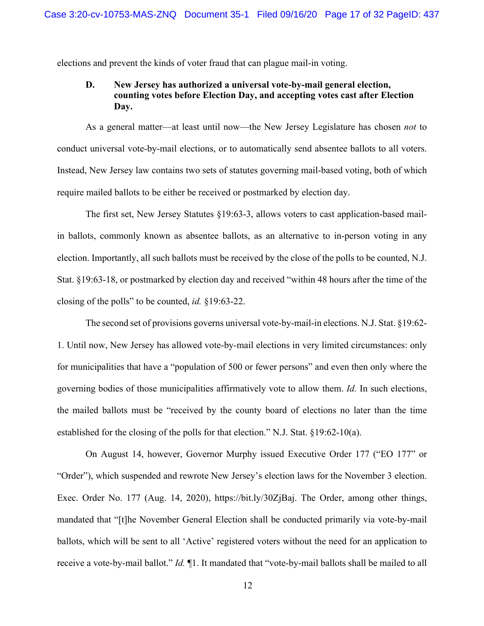elections and prevent the kinds of voter fraud that can plague mail-in voting.

## **D. New Jersey has authorized a universal vote-by-mail general election, counting votes before Election Day, and accepting votes cast after Election Day.**

As a general matter—at least until now—the New Jersey Legislature has chosen *not* to conduct universal vote-by-mail elections, or to automatically send absentee ballots to all voters. Instead, New Jersey law contains two sets of statutes governing mail-based voting, both of which require mailed ballots to be either be received or postmarked by election day.

The first set, New Jersey Statutes §19:63-3, allows voters to cast application-based mailin ballots, commonly known as absentee ballots, as an alternative to in-person voting in any election. Importantly, all such ballots must be received by the close of the polls to be counted, N.J. Stat. §19:63-18, or postmarked by election day and received "within 48 hours after the time of the closing of the polls" to be counted, *id.* §19:63-22.

The second set of provisions governs universal vote-by-mail-in elections. N.J. Stat. §19:62- 1. Until now, New Jersey has allowed vote-by-mail elections in very limited circumstances: only for municipalities that have a "population of 500 or fewer persons" and even then only where the governing bodies of those municipalities affirmatively vote to allow them. *Id.* In such elections, the mailed ballots must be "received by the county board of elections no later than the time established for the closing of the polls for that election." N.J. Stat. §19:62-10(a).

On August 14, however, Governor Murphy issued Executive Order 177 ("EO 177" or "Order"), which suspended and rewrote New Jersey's election laws for the November 3 election. Exec. Order No. 177 (Aug. 14, 2020), https://bit.ly/30ZjBaj. The Order, among other things, mandated that "[t]he November General Election shall be conducted primarily via vote-by-mail ballots, which will be sent to all 'Active' registered voters without the need for an application to receive a vote-by-mail ballot." *Id.* ¶1. It mandated that "vote-by-mail ballots shall be mailed to all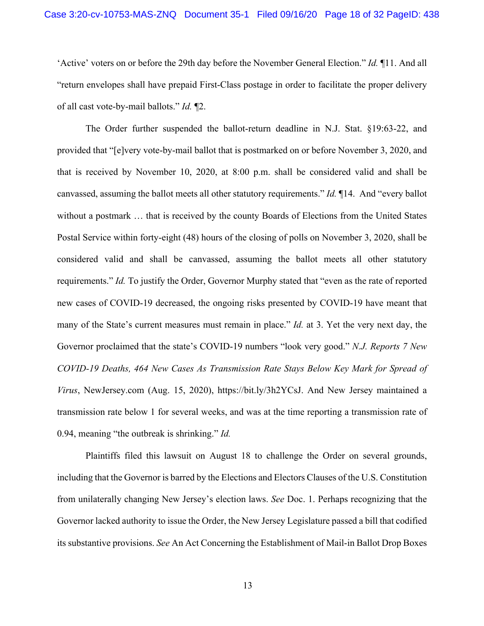'Active' voters on or before the 29th day before the November General Election." *Id.* ¶11. And all "return envelopes shall have prepaid First-Class postage in order to facilitate the proper delivery of all cast vote-by-mail ballots." *Id.* ¶2.

The Order further suspended the ballot-return deadline in N.J. Stat. §19:63-22, and provided that "[e]very vote-by-mail ballot that is postmarked on or before November 3, 2020, and that is received by November 10, 2020, at 8:00 p.m. shall be considered valid and shall be canvassed, assuming the ballot meets all other statutory requirements." *Id.* ¶14. And "every ballot without a postmark … that is received by the county Boards of Elections from the United States Postal Service within forty-eight (48) hours of the closing of polls on November 3, 2020, shall be considered valid and shall be canvassed, assuming the ballot meets all other statutory requirements." *Id.* To justify the Order, Governor Murphy stated that "even as the rate of reported new cases of COVID-19 decreased, the ongoing risks presented by COVID-19 have meant that many of the State's current measures must remain in place." *Id.* at 3. Yet the very next day, the Governor proclaimed that the state's COVID-19 numbers "look very good." *N.J. Reports 7 New COVID-19 Deaths, 464 New Cases As Transmission Rate Stays Below Key Mark for Spread of Virus*, NewJersey.com (Aug. 15, 2020), https://bit.ly/3h2YCsJ. And New Jersey maintained a transmission rate below 1 for several weeks, and was at the time reporting a transmission rate of 0.94, meaning "the outbreak is shrinking." *Id.* 

Plaintiffs filed this lawsuit on August 18 to challenge the Order on several grounds, including that the Governor is barred by the Elections and Electors Clauses of the U.S. Constitution from unilaterally changing New Jersey's election laws. *See* Doc. 1. Perhaps recognizing that the Governor lacked authority to issue the Order, the New Jersey Legislature passed a bill that codified its substantive provisions. *See* An Act Concerning the Establishment of Mail-in Ballot Drop Boxes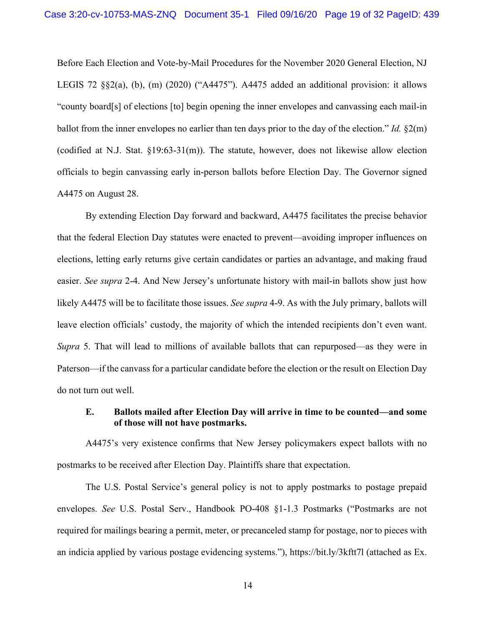Before Each Election and Vote-by-Mail Procedures for the November 2020 General Election, NJ LEGIS 72  $\S$  $\S$ 2(a), (b), (m) (2020) ("A4475"). A4475 added an additional provision: it allows "county board[s] of elections [to] begin opening the inner envelopes and canvassing each mail-in ballot from the inner envelopes no earlier than ten days prior to the day of the election." *Id.* §2(m) (codified at N.J. Stat. §19:63-31(m)). The statute, however, does not likewise allow election officials to begin canvassing early in-person ballots before Election Day. The Governor signed A4475 on August 28.

By extending Election Day forward and backward, A4475 facilitates the precise behavior that the federal Election Day statutes were enacted to prevent—avoiding improper influences on elections, letting early returns give certain candidates or parties an advantage, and making fraud easier. *See supra* 2-4. And New Jersey's unfortunate history with mail-in ballots show just how likely A4475 will be to facilitate those issues. *See supra* 4-9. As with the July primary, ballots will leave election officials' custody, the majority of which the intended recipients don't even want. *Supra* 5. That will lead to millions of available ballots that can repurposed—as they were in Paterson—if the canvass for a particular candidate before the election or the result on Election Day do not turn out well.

### **E. Ballots mailed after Election Day will arrive in time to be counted—and some of those will not have postmarks.**

A4475's very existence confirms that New Jersey policymakers expect ballots with no postmarks to be received after Election Day. Plaintiffs share that expectation.

The U.S. Postal Service's general policy is not to apply postmarks to postage prepaid envelopes. *See* U.S. Postal Serv., Handbook PO-408 §1-1.3 Postmarks ("Postmarks are not required for mailings bearing a permit, meter, or precanceled stamp for postage, nor to pieces with an indicia applied by various postage evidencing systems."), https://bit.ly/3kftt7l (attached as Ex.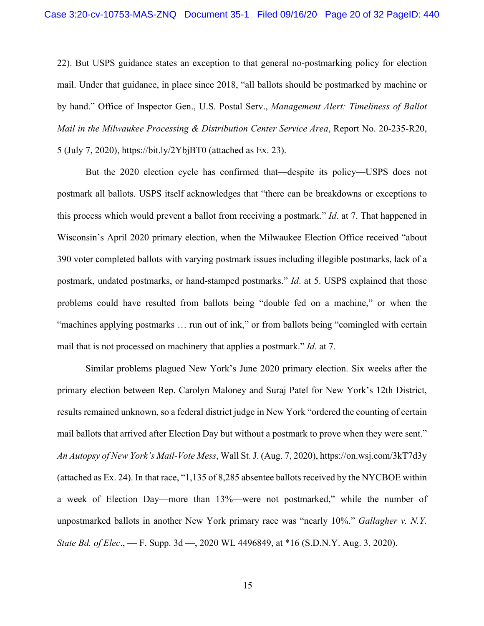22). But USPS guidance states an exception to that general no-postmarking policy for election mail. Under that guidance, in place since 2018, "all ballots should be postmarked by machine or by hand." Office of Inspector Gen., U.S. Postal Serv., *Management Alert: Timeliness of Ballot Mail in the Milwaukee Processing & Distribution Center Service Area*, Report No. 20-235-R20, 5 (July 7, 2020), https://bit.ly/2YbjBT0 (attached as Ex. 23).

But the 2020 election cycle has confirmed that—despite its policy—USPS does not postmark all ballots. USPS itself acknowledges that "there can be breakdowns or exceptions to this process which would prevent a ballot from receiving a postmark." *Id*. at 7. That happened in Wisconsin's April 2020 primary election, when the Milwaukee Election Office received "about 390 voter completed ballots with varying postmark issues including illegible postmarks, lack of a postmark, undated postmarks, or hand-stamped postmarks." *Id*. at 5. USPS explained that those problems could have resulted from ballots being "double fed on a machine," or when the "machines applying postmarks … run out of ink," or from ballots being "comingled with certain mail that is not processed on machinery that applies a postmark." *Id*. at 7.

Similar problems plagued New York's June 2020 primary election. Six weeks after the primary election between Rep. Carolyn Maloney and Suraj Patel for New York's 12th District, results remained unknown, so a federal district judge in New York "ordered the counting of certain mail ballots that arrived after Election Day but without a postmark to prove when they were sent." *An Autopsy of New York's Mail-Vote Mess*, Wall St. J. (Aug. 7, 2020), https://on.wsj.com/3kT7d3y (attached as Ex. 24). In that race, "1,135 of 8,285 absentee ballots received by the NYCBOE within a week of Election Day—more than 13%—were not postmarked," while the number of unpostmarked ballots in another New York primary race was "nearly 10%." *Gallagher v. N.Y. State Bd. of Elec*., — F. Supp. 3d —, 2020 WL 4496849, at \*16 (S.D.N.Y. Aug. 3, 2020).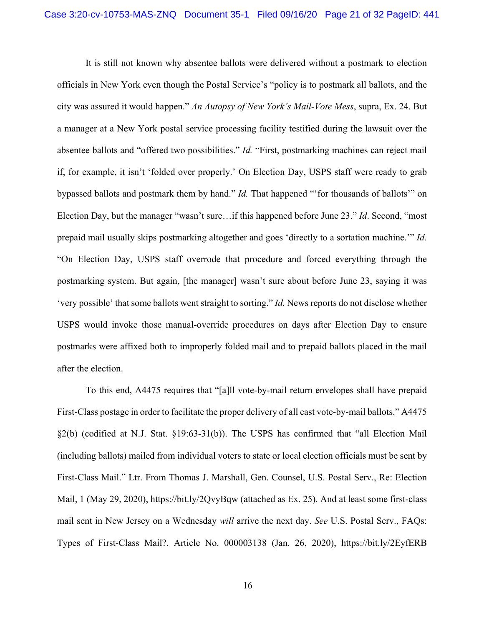It is still not known why absentee ballots were delivered without a postmark to election officials in New York even though the Postal Service's "policy is to postmark all ballots, and the city was assured it would happen." *An Autopsy of New York's Mail-Vote Mess*, supra, Ex. 24. But a manager at a New York postal service processing facility testified during the lawsuit over the absentee ballots and "offered two possibilities." *Id.* "First, postmarking machines can reject mail if, for example, it isn't 'folded over properly.' On Election Day, USPS staff were ready to grab bypassed ballots and postmark them by hand." *Id.* That happened "'for thousands of ballots'" on Election Day, but the manager "wasn't sure…if this happened before June 23." *Id*. Second, "most prepaid mail usually skips postmarking altogether and goes 'directly to a sortation machine.'" *Id.* "On Election Day, USPS staff overrode that procedure and forced everything through the postmarking system. But again, [the manager] wasn't sure about before June 23, saying it was 'very possible' that some ballots went straight to sorting." *Id.* News reports do not disclose whether USPS would invoke those manual-override procedures on days after Election Day to ensure postmarks were affixed both to improperly folded mail and to prepaid ballots placed in the mail after the election.

To this end, A4475 requires that "[a]ll vote-by-mail return envelopes shall have prepaid First-Class postage in order to facilitate the proper delivery of all cast vote-by-mail ballots." A4475 §2(b) (codified at N.J. Stat. §19:63-31(b)). The USPS has confirmed that "all Election Mail (including ballots) mailed from individual voters to state or local election officials must be sent by First-Class Mail." Ltr. From Thomas J. Marshall, Gen. Counsel, U.S. Postal Serv., Re: Election Mail, 1 (May 29, 2020), https://bit.ly/2QvyBqw (attached as Ex. 25). And at least some first-class mail sent in New Jersey on a Wednesday *will* arrive the next day. *See* U.S. Postal Serv., FAQs: Types of First-Class Mail?, Article No. 000003138 (Jan. 26, 2020), https://bit.ly/2EyfERB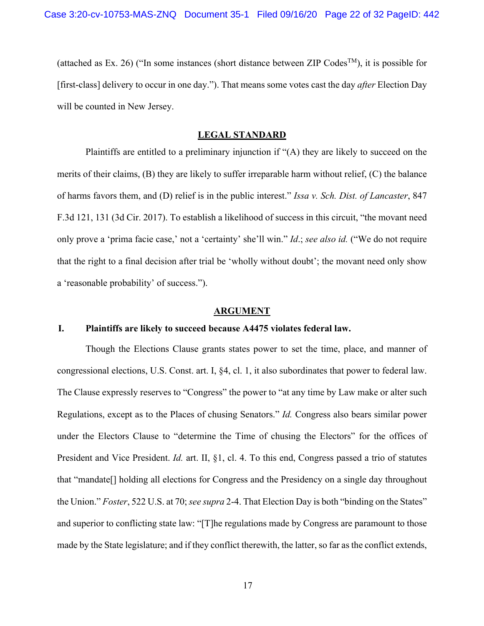(attached as Ex. 26) ("In some instances (short distance between ZIP Codes<sup>TM</sup>), it is possible for [first-class] delivery to occur in one day."). That means some votes cast the day *after* Election Day will be counted in New Jersey.

### **LEGAL STANDARD**

Plaintiffs are entitled to a preliminary injunction if "(A) they are likely to succeed on the merits of their claims, (B) they are likely to suffer irreparable harm without relief, (C) the balance of harms favors them, and (D) relief is in the public interest." *Issa v. Sch. Dist. of Lancaster*, 847 F.3d 121, 131 (3d Cir. 2017). To establish a likelihood of success in this circuit, "the movant need only prove a 'prima facie case,' not a 'certainty' she'll win." *Id*.; *see also id.* ("We do not require that the right to a final decision after trial be 'wholly without doubt'; the movant need only show a 'reasonable probability' of success.").

#### **ARGUMENT**

### **I. Plaintiffs are likely to succeed because A4475 violates federal law.**

Though the Elections Clause grants states power to set the time, place, and manner of congressional elections, U.S. Const. art. I, §4, cl. 1, it also subordinates that power to federal law. The Clause expressly reserves to "Congress" the power to "at any time by Law make or alter such Regulations, except as to the Places of chusing Senators." *Id.* Congress also bears similar power under the Electors Clause to "determine the Time of chusing the Electors" for the offices of President and Vice President. *Id.* art. II, §1, cl. 4. To this end, Congress passed a trio of statutes that "mandate[] holding all elections for Congress and the Presidency on a single day throughout the Union." *Foster*, 522 U.S. at 70; *see supra* 2-4. That Election Day is both "binding on the States" and superior to conflicting state law: "[T]he regulations made by Congress are paramount to those made by the State legislature; and if they conflict therewith, the latter, so far as the conflict extends,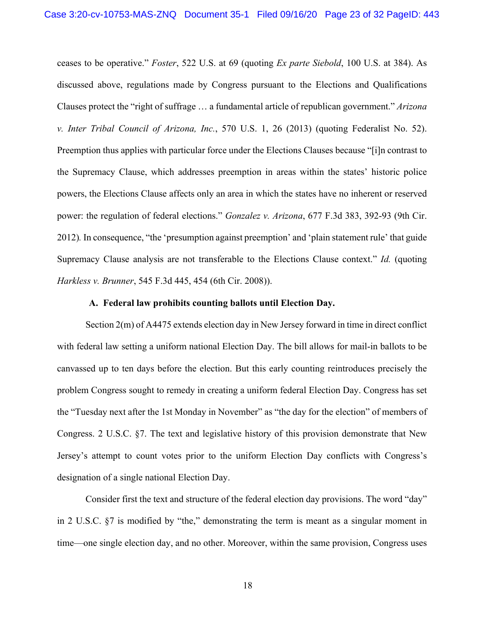ceases to be operative." *Foster*, 522 U.S. at 69 (quoting *Ex parte Siebold*, 100 U.S. at 384). As discussed above, regulations made by Congress pursuant to the Elections and Qualifications Clauses protect the "right of suffrage … a fundamental article of republican government." *Arizona v. Inter Tribal Council of Arizona, Inc.*, 570 U.S. 1, 26 (2013) (quoting Federalist No. 52). Preemption thus applies with particular force under the Elections Clauses because "[i]n contrast to the Supremacy Clause, which addresses preemption in areas within the states' historic police powers, the Elections Clause affects only an area in which the states have no inherent or reserved power: the regulation of federal elections." *Gonzalez v. Arizona*, 677 F.3d 383, 392-93 (9th Cir. 2012)*.* In consequence, "the 'presumption against preemption' and 'plain statement rule' that guide Supremacy Clause analysis are not transferable to the Elections Clause context." *Id.* (quoting *Harkless v. Brunner*, 545 F.3d 445, 454 (6th Cir. 2008)).

### **A. Federal law prohibits counting ballots until Election Day.**

Section 2(m) of A4475 extends election day in New Jersey forward in time in direct conflict with federal law setting a uniform national Election Day. The bill allows for mail-in ballots to be canvassed up to ten days before the election. But this early counting reintroduces precisely the problem Congress sought to remedy in creating a uniform federal Election Day. Congress has set the "Tuesday next after the 1st Monday in November" as "the day for the election" of members of Congress. 2 U.S.C. §7. The text and legislative history of this provision demonstrate that New Jersey's attempt to count votes prior to the uniform Election Day conflicts with Congress's designation of a single national Election Day.

Consider first the text and structure of the federal election day provisions. The word "day" in 2 U.S.C. §7 is modified by "the," demonstrating the term is meant as a singular moment in time—one single election day, and no other. Moreover, within the same provision, Congress uses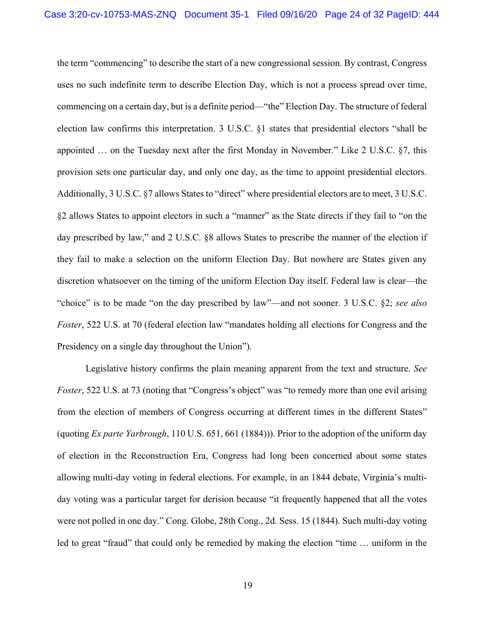the term "commencing" to describe the start of a new congressional session. By contrast, Congress uses no such indefinite term to describe Election Day, which is not a process spread over time, commencing on a certain day, but is a definite period—"the" Election Day. The structure of federal election law confirms this interpretation. 3 U.S.C. §1 states that presidential electors "shall be appointed … on the Tuesday next after the first Monday in November." Like 2 U.S.C. §7, this provision sets one particular day, and only one day, as the time to appoint presidential electors. Additionally, 3 U.S.C. §7 allows States to "direct" where presidential electors are to meet, 3 U.S.C. §2 allows States to appoint electors in such a "manner" as the State directs if they fail to "on the day prescribed by law," and 2 U.S.C. §8 allows States to prescribe the manner of the election if they fail to make a selection on the uniform Election Day. But nowhere are States given any discretion whatsoever on the timing of the uniform Election Day itself. Federal law is clear—the "choice" is to be made "on the day prescribed by law"—and not sooner. 3 U.S.C. §2; *see also Foster*, 522 U.S. at 70 (federal election law "mandates holding all elections for Congress and the Presidency on a single day throughout the Union").

Legislative history confirms the plain meaning apparent from the text and structure. *See Foster*, 522 U.S. at 73 (noting that "Congress's object" was "to remedy more than one evil arising from the election of members of Congress occurring at different times in the different States" (quoting *Ex parte Yarbrough*, 110 U.S. 651, 661 (1884))). Prior to the adoption of the uniform day of election in the Reconstruction Era, Congress had long been concerned about some states allowing multi-day voting in federal elections. For example, in an 1844 debate, Virginia's multiday voting was a particular target for derision because "it frequently happened that all the votes were not polled in one day." Cong. Globe, 28th Cong., 2d. Sess. 15 (1844). Such multi-day voting led to great "fraud" that could only be remedied by making the election "time ... uniform in the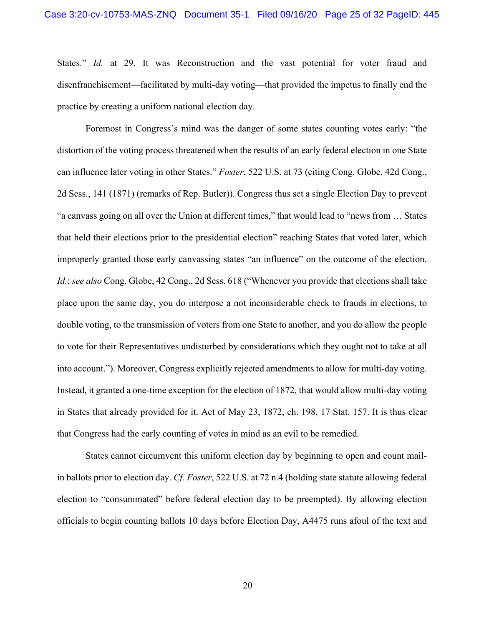States." *Id.* at 29. It was Reconstruction and the vast potential for voter fraud and disenfranchisement—facilitated by multi-day voting—that provided the impetus to finally end the practice by creating a uniform national election day.

Foremost in Congress's mind was the danger of some states counting votes early: "the distortion of the voting process threatened when the results of an early federal election in one State can influence later voting in other States." *Foster*, 522 U.S. at 73 (citing Cong. Globe, 42d Cong., 2d Sess., 141 (1871) (remarks of Rep. Butler)). Congress thus set a single Election Day to prevent "a canvass going on all over the Union at different times," that would lead to "news from … States that held their elections prior to the presidential election" reaching States that voted later, which improperly granted those early canvassing states "an influence" on the outcome of the election. *Id.*; *see also* Cong. Globe, 42 Cong., 2d Sess. 618 ("Whenever you provide that elections shall take place upon the same day, you do interpose a not inconsiderable check to frauds in elections, to double voting, to the transmission of voters from one State to another, and you do allow the people to vote for their Representatives undisturbed by considerations which they ought not to take at all into account."). Moreover, Congress explicitly rejected amendments to allow for multi-day voting. Instead, it granted a one-time exception for the election of 1872, that would allow multi-day voting in States that already provided for it. Act of May 23, 1872, ch. 198, 17 Stat. 157. It is thus clear that Congress had the early counting of votes in mind as an evil to be remedied.

States cannot circumvent this uniform election day by beginning to open and count mailin ballots prior to election day. *Cf. Foster*, 522 U.S. at 72 n.4 (holding state statute allowing federal election to "consummated" before federal election day to be preempted). By allowing election officials to begin counting ballots 10 days before Election Day, A4475 runs afoul of the text and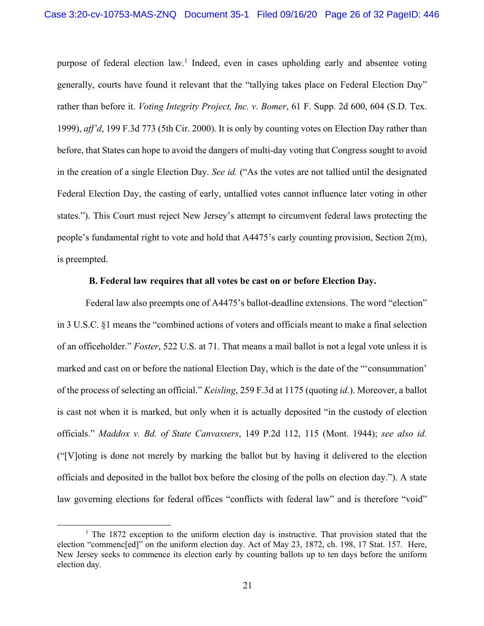purpose of federal election  $law<sup>1</sup>$  Indeed, even in cases upholding early and absentee voting generally, courts have found it relevant that the "tallying takes place on Federal Election Day" rather than before it. *Voting Integrity Project, Inc. v. Bomer*, 61 F. Supp. 2d 600, 604 (S.D. Tex. 1999), *aff'd*, 199 F.3d 773 (5th Cir. 2000). It is only by counting votes on Election Day rather than before, that States can hope to avoid the dangers of multi-day voting that Congress sought to avoid in the creation of a single Election Day. *See id.* ("As the votes are not tallied until the designated Federal Election Day, the casting of early, untallied votes cannot influence later voting in other states."). This Court must reject New Jersey's attempt to circumvent federal laws protecting the people's fundamental right to vote and hold that A4475's early counting provision, Section 2(m), is preempted.

### **B. Federal law requires that all votes be cast on or before Election Day.**

Federal law also preempts one of A4475's ballot-deadline extensions. The word "election" in 3 U.S.C. §1 means the "combined actions of voters and officials meant to make a final selection of an officeholder." *Foster*, 522 U.S. at 71. That means a mail ballot is not a legal vote unless it is marked and cast on or before the national Election Day, which is the date of the "'consummation' of the process of selecting an official." *Keisling*, 259 F.3d at 1175 (quoting *id.*). Moreover, a ballot is cast not when it is marked, but only when it is actually deposited "in the custody of election officials." *Maddox v. Bd. of State Canvassers*, 149 P.2d 112, 115 (Mont. 1944); *see also id.*  ("[V]oting is done not merely by marking the ballot but by having it delivered to the election officials and deposited in the ballot box before the closing of the polls on election day."). A state law governing elections for federal offices "conflicts with federal law" and is therefore "void"

 $1$  The 1872 exception to the uniform election day is instructive. That provision stated that the election "commenc[ed]" on the uniform election day. Act of May 23, 1872, ch. 198, 17 Stat. 157. Here, New Jersey seeks to commence its election early by counting ballots up to ten days before the uniform election day.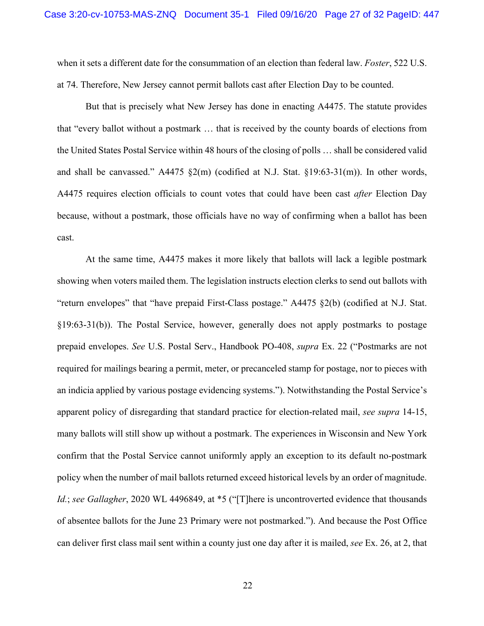when it sets a different date for the consummation of an election than federal law. *Foster*, 522 U.S. at 74. Therefore, New Jersey cannot permit ballots cast after Election Day to be counted.

But that is precisely what New Jersey has done in enacting A4475. The statute provides that "every ballot without a postmark … that is received by the county boards of elections from the United States Postal Service within 48 hours of the closing of polls … shall be considered valid and shall be canvassed." A4475 §2(m) (codified at N.J. Stat. §19:63-31(m)). In other words, A4475 requires election officials to count votes that could have been cast *after* Election Day because, without a postmark, those officials have no way of confirming when a ballot has been cast.

At the same time, A4475 makes it more likely that ballots will lack a legible postmark showing when voters mailed them. The legislation instructs election clerks to send out ballots with "return envelopes" that "have prepaid First-Class postage." A4475 §2(b) (codified at N.J. Stat. §19:63-31(b)). The Postal Service, however, generally does not apply postmarks to postage prepaid envelopes. *See* U.S. Postal Serv., Handbook PO-408, *supra* Ex. 22 ("Postmarks are not required for mailings bearing a permit, meter, or precanceled stamp for postage, nor to pieces with an indicia applied by various postage evidencing systems."). Notwithstanding the Postal Service's apparent policy of disregarding that standard practice for election-related mail, *see supra* 14-15, many ballots will still show up without a postmark. The experiences in Wisconsin and New York confirm that the Postal Service cannot uniformly apply an exception to its default no-postmark policy when the number of mail ballots returned exceed historical levels by an order of magnitude. *Id.*; *see Gallagher*, 2020 WL 4496849, at \*5 ("[T]here is uncontroverted evidence that thousands of absentee ballots for the June 23 Primary were not postmarked."). And because the Post Office can deliver first class mail sent within a county just one day after it is mailed, *see* Ex. 26, at 2, that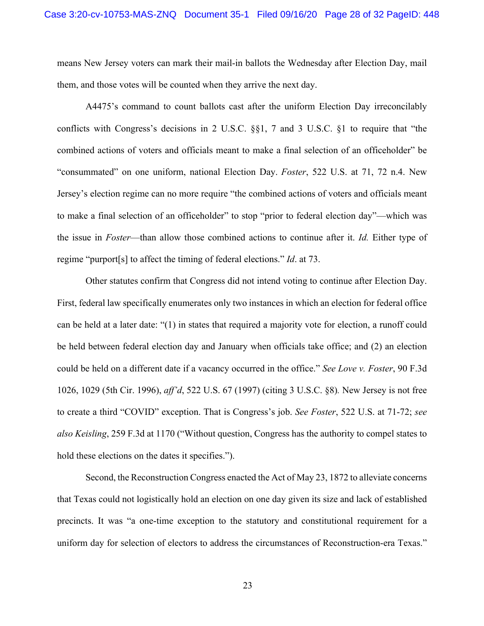means New Jersey voters can mark their mail-in ballots the Wednesday after Election Day, mail them, and those votes will be counted when they arrive the next day.

A4475's command to count ballots cast after the uniform Election Day irreconcilably conflicts with Congress's decisions in 2 U.S.C. §§1, 7 and 3 U.S.C. §1 to require that "the combined actions of voters and officials meant to make a final selection of an officeholder" be "consummated" on one uniform, national Election Day. *Foster*, 522 U.S. at 71, 72 n.4. New Jersey's election regime can no more require "the combined actions of voters and officials meant to make a final selection of an officeholder" to stop "prior to federal election day"—which was the issue in *Foster*—than allow those combined actions to continue after it. *Id.* Either type of regime "purport[s] to affect the timing of federal elections." *Id*. at 73.

Other statutes confirm that Congress did not intend voting to continue after Election Day. First, federal law specifically enumerates only two instances in which an election for federal office can be held at a later date: "(1) in states that required a majority vote for election, a runoff could be held between federal election day and January when officials take office; and (2) an election could be held on a different date if a vacancy occurred in the office." *See Love v. Foster*, 90 F.3d 1026, 1029 (5th Cir. 1996), *aff'd*, 522 U.S. 67 (1997) (citing 3 U.S.C. §8)*.* New Jersey is not free to create a third "COVID" exception. That is Congress's job. *See Foster*, 522 U.S. at 71-72; *see also Keisling*, 259 F.3d at 1170 ("Without question, Congress has the authority to compel states to hold these elections on the dates it specifies.").

Second, the Reconstruction Congress enacted the Act of May 23, 1872 to alleviate concerns that Texas could not logistically hold an election on one day given its size and lack of established precincts. It was "a one-time exception to the statutory and constitutional requirement for a uniform day for selection of electors to address the circumstances of Reconstruction-era Texas."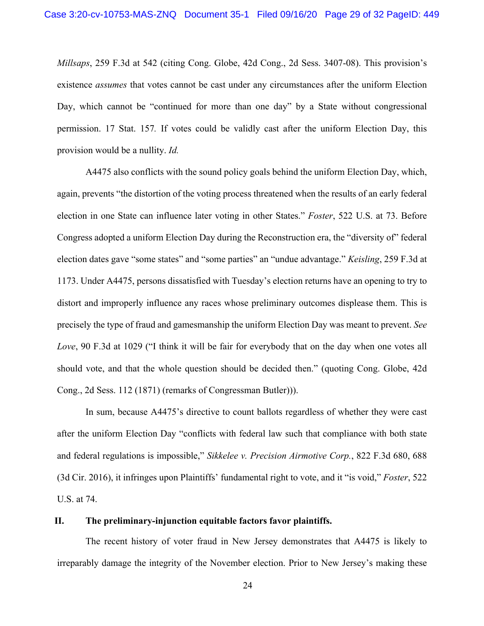*Millsaps*, 259 F.3d at 542 (citing Cong. Globe, 42d Cong., 2d Sess. 3407-08). This provision's existence *assumes* that votes cannot be cast under any circumstances after the uniform Election Day, which cannot be "continued for more than one day" by a State without congressional permission. 17 Stat. 157*.* If votes could be validly cast after the uniform Election Day, this provision would be a nullity. *Id.*

A4475 also conflicts with the sound policy goals behind the uniform Election Day, which, again, prevents "the distortion of the voting process threatened when the results of an early federal election in one State can influence later voting in other States." *Foster*, 522 U.S. at 73. Before Congress adopted a uniform Election Day during the Reconstruction era, the "diversity of" federal election dates gave "some states" and "some parties" an "undue advantage." *Keisling*, 259 F.3d at 1173. Under A4475, persons dissatisfied with Tuesday's election returns have an opening to try to distort and improperly influence any races whose preliminary outcomes displease them. This is precisely the type of fraud and gamesmanship the uniform Election Day was meant to prevent. *See Love*, 90 F.3d at 1029 ("I think it will be fair for everybody that on the day when one votes all should vote, and that the whole question should be decided then." (quoting Cong. Globe, 42d Cong., 2d Sess. 112 (1871) (remarks of Congressman Butler))).

In sum, because A4475's directive to count ballots regardless of whether they were cast after the uniform Election Day "conflicts with federal law such that compliance with both state and federal regulations is impossible," *Sikkelee v. Precision Airmotive Corp.*, 822 F.3d 680, 688 (3d Cir. 2016), it infringes upon Plaintiffs' fundamental right to vote, and it "is void," *Foster*, 522 U.S. at 74.

### **II. The preliminary-injunction equitable factors favor plaintiffs.**

The recent history of voter fraud in New Jersey demonstrates that A4475 is likely to irreparably damage the integrity of the November election. Prior to New Jersey's making these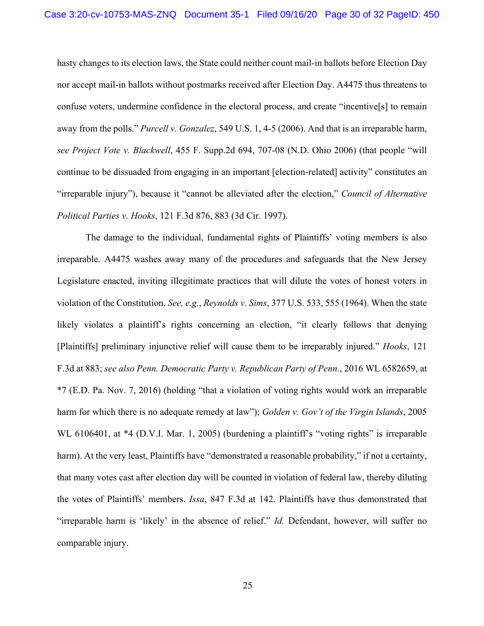hasty changes to its election laws, the State could neither count mail-in ballots before Election Day nor accept mail-in ballots without postmarks received after Election Day. A4475 thus threatens to confuse voters, undermine confidence in the electoral process, and create "incentive[s] to remain away from the polls." *Purcell v. Gonzalez*, 549 U.S. 1, 4-5 (2006). And that is an irreparable harm, *see Project Vote v. Blackwell*, 455 F. Supp.2d 694, 707-08 (N.D. Ohio 2006) (that people "will continue to be dissuaded from engaging in an important [election-related] activity" constitutes an "irreparable injury"), because it "cannot be alleviated after the election," *Council of Alternative Political Parties v. Hooks*, 121 F.3d 876, 883 (3d Cir. 1997).

The damage to the individual, fundamental rights of Plaintiffs' voting members is also irreparable. A4475 washes away many of the procedures and safeguards that the New Jersey Legislature enacted, inviting illegitimate practices that will dilute the votes of honest voters in violation of the Constitution. *See, e.g.*, *Reynolds v. Sims*, 377 U.S. 533, 555 (1964). When the state likely violates a plaintiff's rights concerning an election, "it clearly follows that denying [Plaintiffs] preliminary injunctive relief will cause them to be irreparably injured." *Hooks*, 121 F.3d at 883; *see also Penn. Democratic Party v. Republican Party of Penn.*, 2016 WL 6582659, at \*7 (E.D. Pa. Nov. 7, 2016) (holding "that a violation of voting rights would work an irreparable harm for which there is no adequate remedy at law"); *Golden v. Gov't of the Virgin Islands*, 2005 WL 6106401, at \*4 (D.V.I. Mar. 1, 2005) (burdening a plaintiff's "voting rights" is irreparable harm). At the very least, Plaintiffs have "demonstrated a reasonable probability," if not a certainty, that many votes cast after election day will be counted in violation of federal law, thereby diluting the votes of Plaintiffs' members. *Issa*, 847 F.3d at 142. Plaintiffs have thus demonstrated that "irreparable harm is 'likely' in the absence of relief." *Id.* Defendant, however, will suffer no comparable injury.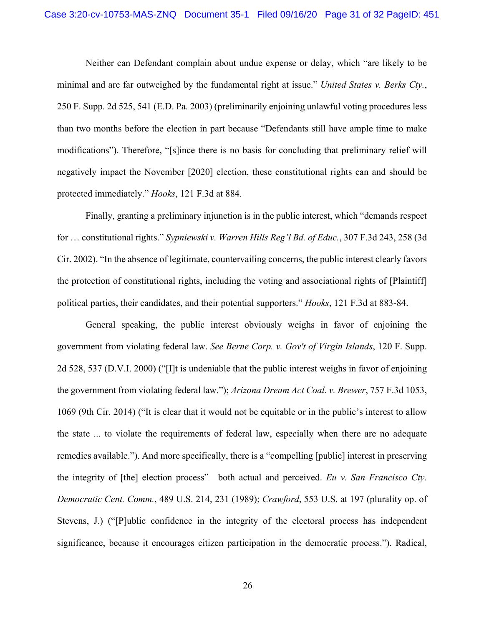Neither can Defendant complain about undue expense or delay, which "are likely to be minimal and are far outweighed by the fundamental right at issue." *United States v. Berks Cty.*, 250 F. Supp. 2d 525, 541 (E.D. Pa. 2003) (preliminarily enjoining unlawful voting procedures less than two months before the election in part because "Defendants still have ample time to make modifications"). Therefore, "[s]ince there is no basis for concluding that preliminary relief will negatively impact the November [2020] election, these constitutional rights can and should be protected immediately." *Hooks*, 121 F.3d at 884.

Finally, granting a preliminary injunction is in the public interest, which "demands respect for … constitutional rights." *Sypniewski v. Warren Hills Reg'l Bd. of Educ.*, 307 F.3d 243, 258 (3d Cir. 2002). "In the absence of legitimate, countervailing concerns, the public interest clearly favors the protection of constitutional rights, including the voting and associational rights of [Plaintiff] political parties, their candidates, and their potential supporters." *Hooks*, 121 F.3d at 883-84.

General speaking, the public interest obviously weighs in favor of enjoining the government from violating federal law. *See Berne Corp. v. Gov't of Virgin Islands*, 120 F. Supp. 2d 528, 537 (D.V.I. 2000) ("[I]t is undeniable that the public interest weighs in favor of enjoining the government from violating federal law."); *Arizona Dream Act Coal. v. Brewer*, 757 F.3d 1053, 1069 (9th Cir. 2014) ("It is clear that it would not be equitable or in the public's interest to allow the state ... to violate the requirements of federal law, especially when there are no adequate remedies available."). And more specifically, there is a "compelling [public] interest in preserving the integrity of [the] election process"—both actual and perceived. *Eu v. San Francisco Cty. Democratic Cent. Comm.*, 489 U.S. 214, 231 (1989); *Crawford*, 553 U.S. at 197 (plurality op. of Stevens, J.) ("[P]ublic confidence in the integrity of the electoral process has independent significance, because it encourages citizen participation in the democratic process."). Radical,